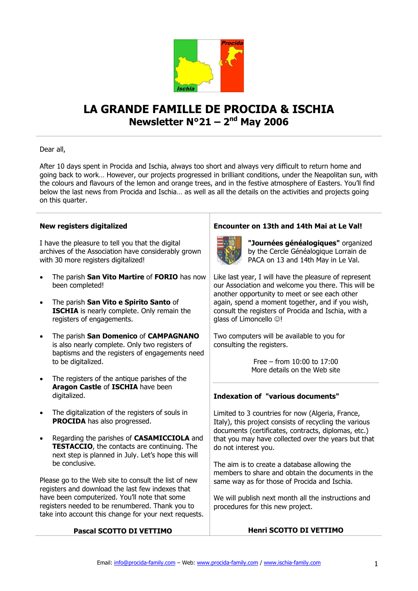

# **LA GRANDE FAMILLE DE PROCIDA & ISCHIA Newsletter N°21 – 2 nd May 2006**

## Dear all,

After 10 days spent in Procida and Ischia, always too short and always very difficult to return home and going back to work… However, our projects progressed in brilliant conditions, under the Neapolitan sun, with the colours and flavours of the lemon and orange trees, and in the festive atmosphere of Easters. You'll find below the last news from Procida and Ischia… as well as all the details on the activities and projects going on this quarter.

## **New registers digitalized**

I have the pleasure to tell you that the digital archives of the Association have considerably grown with 30 more registers digitalized!

- The parish **San Vito Martire** of **FORIO** has now been completed!
- The parish **San Vito e Spirito Santo** of **ISCHIA** is nearly complete. Only remain the registers of engagements.
- The parish **San Domenico** of **CAMPAGNANO** is also nearly complete. Only two registers of baptisms and the registers of engagements need to be digitalized.
- The registers of the antique parishes of the **Aragon Castle** of **ISCHIA** have been digitalized.
- The digitalization of the registers of souls in **PROCIDA** has also progressed.
- Regarding the parishes of **CASAMICCIOLA** and **TESTACCIO**, the contacts are continuing. The next step is planned in July. Let's hope this will be conclusive.

Please go to the Web site to consult the list of new registers and download the last few indexes that have been computerized. You'll note that some registers needed to be renumbered. Thank you to take into account this change for your next requests.

# **Pascal SCOTTO DI VETTIMO**

# **Encounter on 13th and 14th Mai at Le Val!**



**"Journées généalogiques"** organized by the Cercle Généalogique Lorrain de PACA on 13 and 14th May in Le Val.

Like last year, I will have the pleasure of represent our Association and welcome you there. This will be another opportunity to meet or see each other again, spend a moment together, and if you wish, consult the registers of Procida and Ischia, with a glass of Limoncello  $\odot$ !

Two computers will be available to you for consulting the registers.

> Free – from 10:00 to 17:00 More details on the Web site

## **Indexation of "various documents"**

Limited to 3 countries for now (Algeria, France, Italy), this project consists of recycling the various documents (certificates, contracts, diplomas, etc.) that you may have collected over the years but that do not interest you.

The aim is to create a database allowing the members to share and obtain the documents in the same way as for those of Procida and Ischia.

We will publish next month all the instructions and procedures for this new project.

## **Henri SCOTTO DI VETTIMO**